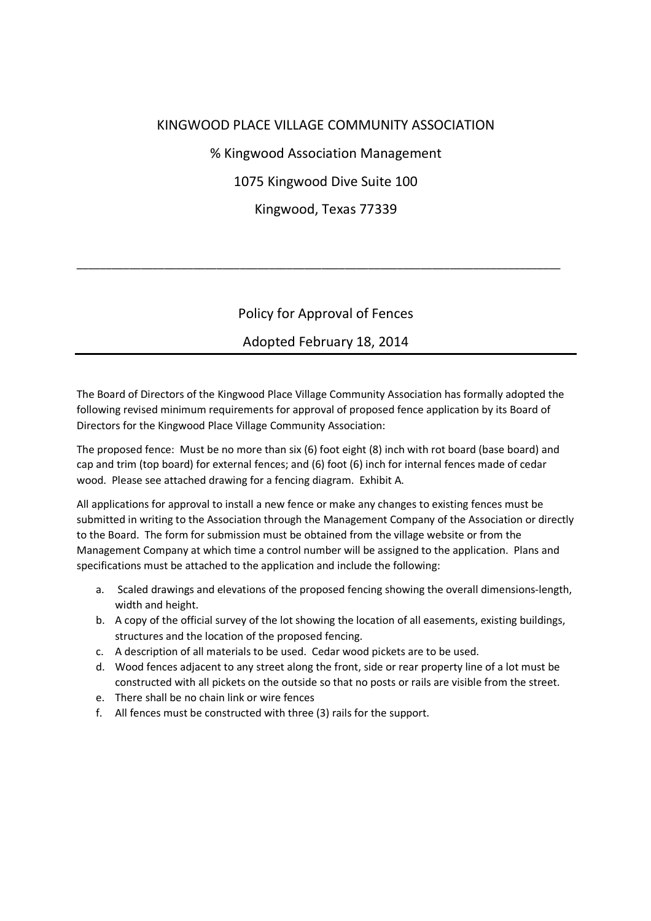## KINGWOOD PLACE VILLAGE COMMUNITY ASSOCIATION

% Kingwood Association Management

1075 Kingwood Dive Suite 100

Kingwood, Texas 77339

\_\_\_\_\_\_\_\_\_\_\_\_\_\_\_\_\_\_\_\_\_\_\_\_\_\_\_\_\_\_\_\_\_\_\_\_\_\_\_\_\_\_\_\_\_\_\_\_\_\_\_\_\_\_\_\_\_\_\_\_\_\_\_\_\_\_\_\_\_\_\_\_\_\_\_\_\_\_\_\_\_\_\_

## Policy for Approval of Fences

## Adopted February 18, 2014

The Board of Directors of the Kingwood Place Village Community Association has formally adopted the following revised minimum requirements for approval of proposed fence application by its Board of Directors for the Kingwood Place Village Community Association:

The proposed fence: Must be no more than six (6) foot eight (8) inch with rot board (base board) and cap and trim (top board) for external fences; and (6) foot (6) inch for internal fences made of cedar wood. Please see attached drawing for a fencing diagram. Exhibit A.

All applications for approval to install a new fence or make any changes to existing fences must be submitted in writing to the Association through the Management Company of the Association or directly to the Board. The form for submission must be obtained from the village website or from the Management Company at which time a control number will be assigned to the application. Plans and specifications must be attached to the application and include the following:

- a. Scaled drawings and elevations of the proposed fencing showing the overall dimensions-length, width and height.
- b. A copy of the official survey of the lot showing the location of all easements, existing buildings, structures and the location of the proposed fencing.
- c. A description of all materials to be used. Cedar wood pickets are to be used.
- d. Wood fences adjacent to any street along the front, side or rear property line of a lot must be constructed with all pickets on the outside so that no posts or rails are visible from the street.
- e. There shall be no chain link or wire fences
- f. All fences must be constructed with three (3) rails for the support.